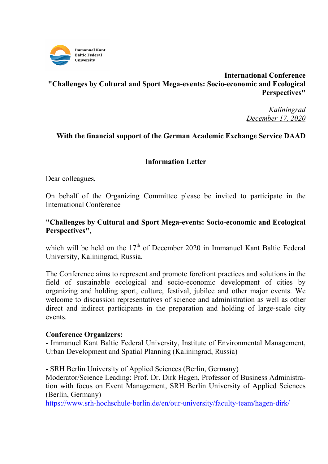

# **International Conference "Challenges by Cultural and Sport Mega-events: Socio-economic and Ecological Perspectives"**

*Kaliningrad December 17, 2020* 

## **With the financial support of the German Academic Exchange Service DAAD**

## **Information Letter**

Dear colleagues,

On behalf of the Organizing Committee please be invited to participate in the International Conference

## **"Challenges by Cultural and Sport Mega-events: Socio-economic and Ecological Perspectives"**,

which will be held on the  $17<sup>th</sup>$  of December 2020 in Immanuel Kant Baltic Federal University, Kaliningrad, Russia.

The Conference aims to represent and promote forefront practices and solutions in the field of sustainable ecological and socio-economic development of cities by organizing and holding sport, culture, festival, jubilee and other major events. We welcome to discussion representatives of science and administration as well as other direct and indirect participants in the preparation and holding of large-scale city events.

## **Conference Organizers:**

- Immanuel Kant Baltic Federal University, Institute of Environmental Management, Urban Development and Spatial Planning (Kaliningrad, Russia)

- SRH Berlin University of Applied Sciences (Berlin, Germany)

Moderator/Science Leading: Prof. Dr. Dirk Hagen, Professor of Business Administration with focus on Event Management, SRH Berlin University of Applied Sciences (Berlin, Germany)

https://www.srh-hochschule-berlin.de/en/our-university/faculty-team/hagen-dirk/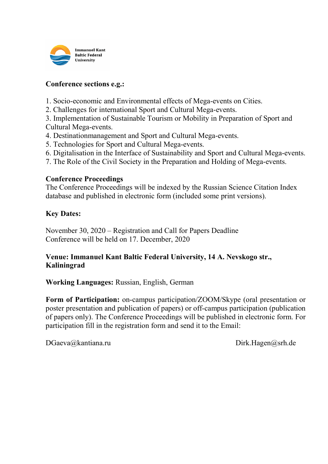

#### **Conference sections e.g.:**

1. Socio-economic and Environmental effects of Mega-events on Cities.

2. Challenges for international Sport and Cultural Mega-events.

3. Implementation of Sustainable Tourism or Mobility in Preparation of Sport and Cultural Mega-events.

- 4. Destinationmanagement and Sport and Cultural Mega-events.
- 5. Technologies for Sport and Cultural Mega-events.
- 6. Digitalisation in the Interface of Sustainability and Sport and Cultural Mega-events.
- 7. The Role of the Civil Society in the Preparation and Holding of Mega-events.

#### **Conference Proceedings**

The Conference Proceedings will be indexed by the Russian Science Citation Index database and published in electronic form (included some print versions).

#### **Key Dates:**

November 30, 2020 – Registration and Call for Papers Deadline Conference will be held on 17. December, 2020

## **Venue: Immanuel Kant Baltic Federal University, 14 A. Nevskogo str., Kaliningrad**

**Working Languages:** Russian, English, German

**Form of Participation:** on-campus participation/ZOOM/Skype (oral presentation or poster presentation and publication of papers) or off-campus participation (publication of papers only). The Conference Proceedings will be published in electronic form. For participation fill in the registration form and send it to the Email:

DGaeva@kantiana.ru Dirk.Hagen@srh.de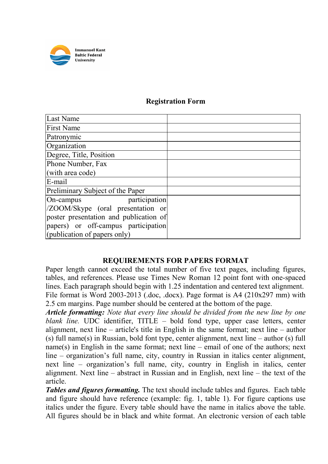

## **Registration Form**

| Last Name                              |  |
|----------------------------------------|--|
| <b>First Name</b>                      |  |
| Patronymic                             |  |
| Organization                           |  |
| Degree, Title, Position                |  |
| Phone Number, Fax                      |  |
| (with area code)                       |  |
| E-mail                                 |  |
| Preliminary Subject of the Paper       |  |
| participation<br>On-campus             |  |
| /ZOOM/Skype (oral presentation or      |  |
| poster presentation and publication of |  |
| papers) or off-campus participation    |  |
| (publication of papers only)           |  |

## **REQUIREMENTS FOR PAPERS FORMAT**

Paper length cannot exceed the total number of five text pages, including figures, tables, and references. Please use Times New Roman 12 point font with one-spaced lines. Each paragraph should begin with 1.25 indentation and centered text alignment. File format is Word 2003-2013 (.doc, .docx). Page format is A4 (210x297 mm) with 2.5 cm margins. Page number should be centered at the bottom of the page.

*Article formatting: Note that every line should be divided from the new line by one blank line.* UDC identifier, TITLE – bold fond type, upper case letters, center alignment, next line – article's title in English in the same format; next line – author (s) full name(s) in Russian, bold font type, center alignment, next line – author (s) full name(s) in English in the same format; next line – email of one of the authors; next line – organization's full name, city, country in Russian in italics center alignment, next line – organization's full name, city, country in English in italics, center alignment. Next line – abstract in Russian and in English, next line – the text of the article.

*Tables and figures formatting.* The text should include tables and figures. Each table and figure should have reference (example: fig. 1, table 1). For figure captions use italics under the figure. Every table should have the name in italics above the table. All figures should be in black and white format. An electronic version of each table